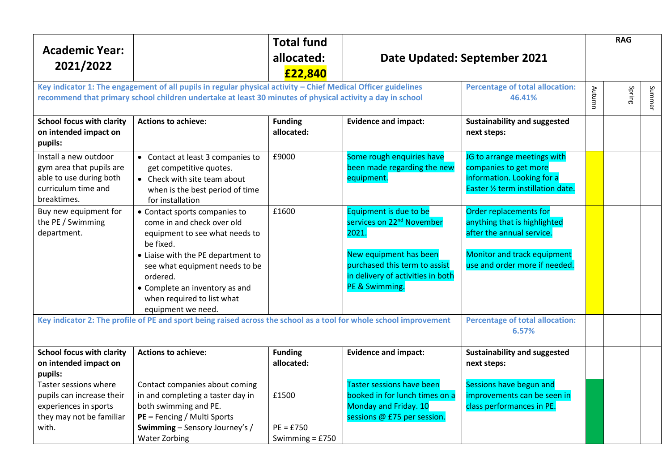|                                                                                                                                                                                                                            |                                                                                                                                                                                                                                                                | <b>Total fund</b>                         |                                                                                                                                                                                            |                                                                                                                                                     |        | <b>RAG</b> |        |
|----------------------------------------------------------------------------------------------------------------------------------------------------------------------------------------------------------------------------|----------------------------------------------------------------------------------------------------------------------------------------------------------------------------------------------------------------------------------------------------------------|-------------------------------------------|--------------------------------------------------------------------------------------------------------------------------------------------------------------------------------------------|-----------------------------------------------------------------------------------------------------------------------------------------------------|--------|------------|--------|
| <b>Academic Year:</b><br>2021/2022                                                                                                                                                                                         |                                                                                                                                                                                                                                                                | allocated:<br>£22,840                     | Date Updated: September 2021                                                                                                                                                               |                                                                                                                                                     |        |            |        |
| Key indicator 1: The engagement of all pupils in regular physical activity - Chief Medical Officer guidelines<br>recommend that primary school children undertake at least 30 minutes of physical activity a day in school |                                                                                                                                                                                                                                                                |                                           |                                                                                                                                                                                            | <b>Percentage of total allocation:</b><br>46.41%                                                                                                    | Autumn | Spring     | Summer |
| <b>School focus with clarity</b><br>on intended impact on<br>pupils:                                                                                                                                                       | <b>Actions to achieve:</b>                                                                                                                                                                                                                                     | <b>Funding</b><br>allocated:              | <b>Evidence and impact:</b>                                                                                                                                                                | <b>Sustainability and suggested</b><br>next steps:                                                                                                  |        |            |        |
| Install a new outdoor<br>gym area that pupils are<br>able to use during both<br>curriculum time and<br>breaktimes.                                                                                                         | • Contact at least 3 companies to<br>get competitive quotes.<br>• Check with site team about<br>when is the best period of time<br>for installation                                                                                                            | £9000                                     | Some rough enquiries have<br>been made regarding the new<br>equipment.                                                                                                                     | JG to arrange meetings with<br>companies to get more<br>information. Looking for a<br>Easter 1/2 term instillation date.                            |        |            |        |
| Buy new equipment for<br>the PE / Swimming<br>department.                                                                                                                                                                  | • Contact sports companies to<br>come in and check over old<br>equipment to see what needs to<br>be fixed.<br>• Liaise with the PE department to<br>see what equipment needs to be<br>ordered.<br>• Complete an inventory as and<br>when required to list what | £1600                                     | Equipment is due to be<br>services on 22 <sup>nd</sup> November<br>2021.<br>New equipment has been<br>purchased this term to assist<br>in delivery of activities in both<br>PE & Swimming. | Order replacements for<br>anything that is highlighted<br>after the annual service.<br>Monitor and track equipment<br>use and order more if needed. |        |            |        |
| equipment we need.<br>Key indicator 2: The profile of PE and sport being raised across the school as a tool for whole school improvement                                                                                   |                                                                                                                                                                                                                                                                |                                           |                                                                                                                                                                                            | <b>Percentage of total allocation:</b><br>6.57%                                                                                                     |        |            |        |
| <b>School focus with clarity</b><br>on intended impact on<br>pupils:                                                                                                                                                       | <b>Actions to achieve:</b>                                                                                                                                                                                                                                     | <b>Funding</b><br>allocated:              | <b>Evidence and impact:</b>                                                                                                                                                                | <b>Sustainability and suggested</b><br>next steps:                                                                                                  |        |            |        |
| Taster sessions where<br>pupils can increase their<br>experiences in sports<br>they may not be familiar<br>with.                                                                                                           | Contact companies about coming<br>in and completing a taster day in<br>both swimming and PE.<br>PE - Fencing / Multi Sports<br>Swimming - Sensory Journey's /<br><b>Water Zorbing</b>                                                                          | £1500<br>$PE = £750$<br>Swimming = $£750$ | <b>Taster sessions have been</b><br>booked in for lunch times on a<br>Monday and Friday. 10<br>sessions @ £75 per session.                                                                 | Sessions have begun and<br>improvements can be seen in<br>class performances in PE.                                                                 |        |            |        |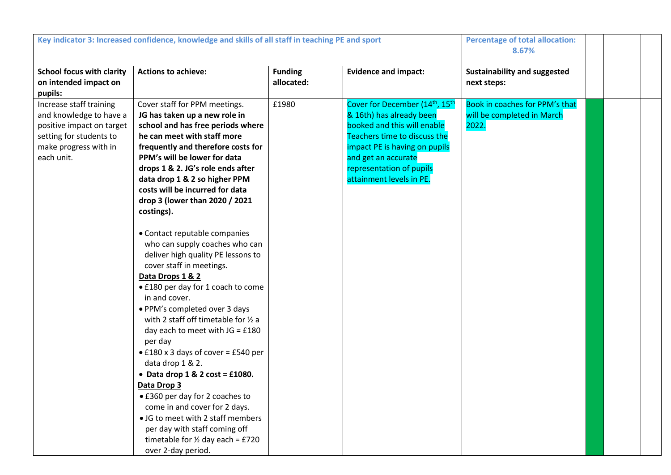| Key indicator 3: Increased confidence, knowledge and skills of all staff in teaching PE and sport                                                 |                                                                                                                                                                                                                                                                                                                                                                                                                                                                                                                                                                                                                                                                                                                                                                                                                                                                                                                                                                                                                                                           |                              | <b>Percentage of total allocation:</b><br>8.67%                                                                                                                                                                                                                    |                                                                       |  |  |
|---------------------------------------------------------------------------------------------------------------------------------------------------|-----------------------------------------------------------------------------------------------------------------------------------------------------------------------------------------------------------------------------------------------------------------------------------------------------------------------------------------------------------------------------------------------------------------------------------------------------------------------------------------------------------------------------------------------------------------------------------------------------------------------------------------------------------------------------------------------------------------------------------------------------------------------------------------------------------------------------------------------------------------------------------------------------------------------------------------------------------------------------------------------------------------------------------------------------------|------------------------------|--------------------------------------------------------------------------------------------------------------------------------------------------------------------------------------------------------------------------------------------------------------------|-----------------------------------------------------------------------|--|--|
| <b>School focus with clarity</b><br>on intended impact on<br>pupils:                                                                              | <b>Actions to achieve:</b>                                                                                                                                                                                                                                                                                                                                                                                                                                                                                                                                                                                                                                                                                                                                                                                                                                                                                                                                                                                                                                | <b>Funding</b><br>allocated: | <b>Evidence and impact:</b>                                                                                                                                                                                                                                        | Sustainability and suggested<br>next steps:                           |  |  |
| Increase staff training<br>and knowledge to have a<br>positive impact on target<br>setting for students to<br>make progress with in<br>each unit. | Cover staff for PPM meetings.<br>JG has taken up a new role in<br>school and has free periods where<br>he can meet with staff more<br>frequently and therefore costs for<br>PPM's will be lower for data<br>drops 1 & 2. JG's role ends after<br>data drop 1 & 2 so higher PPM<br>costs will be incurred for data<br>drop 3 (lower than 2020 / 2021<br>costings).<br>• Contact reputable companies<br>who can supply coaches who can<br>deliver high quality PE lessons to<br>cover staff in meetings.<br>Data Drops 1 & 2<br>• £180 per day for 1 coach to come<br>in and cover.<br>· PPM's completed over 3 days<br>with 2 staff off timetable for 1/2 a<br>day each to meet with $JG = £180$<br>per day<br>$\bullet$ £180 x 3 days of cover = £540 per<br>data drop 1 & 2.<br>• Data drop $1 & 2 \text{ cost} = £1080$ .<br>Data Drop 3<br>• £360 per day for 2 coaches to<br>come in and cover for 2 days.<br>• JG to meet with 2 staff members<br>per day with staff coming off<br>timetable for $\frac{1}{2}$ day each = £720<br>over 2-day period. | £1980                        | Cover for December (14 <sup>th</sup> , 15 <sup>th</sup><br>& 16th) has already been<br>booked and this will enable<br>Teachers time to discuss the<br>impact PE is having on pupils<br>and get an accurate<br>representation of pupils<br>attainment levels in PE. | Book in coaches for PPM's that<br>will be completed in March<br>2022. |  |  |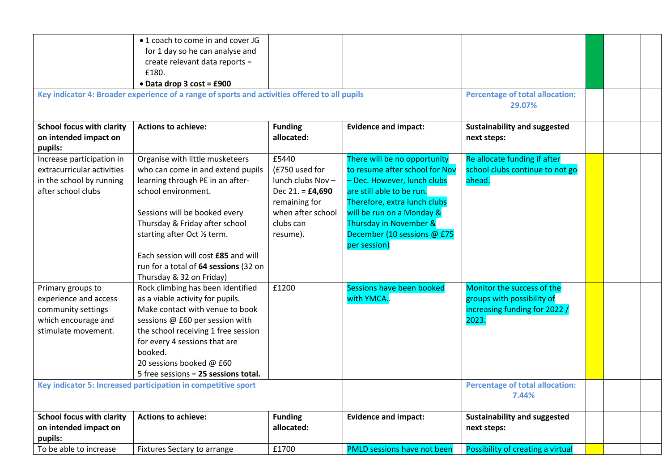|                                  | • 1 coach to come in and cover JG                                                             |                    |                                    |                                        |  |  |
|----------------------------------|-----------------------------------------------------------------------------------------------|--------------------|------------------------------------|----------------------------------------|--|--|
|                                  | for 1 day so he can analyse and                                                               |                    |                                    |                                        |  |  |
|                                  | create relevant data reports =                                                                |                    |                                    |                                        |  |  |
|                                  | £180.                                                                                         |                    |                                    |                                        |  |  |
|                                  | • Data drop 3 cost = £900                                                                     |                    |                                    |                                        |  |  |
|                                  | Key indicator 4: Broader experience of a range of sports and activities offered to all pupils |                    |                                    | <b>Percentage of total allocation:</b> |  |  |
|                                  |                                                                                               | 29.07%             |                                    |                                        |  |  |
|                                  |                                                                                               |                    |                                    |                                        |  |  |
| <b>School focus with clarity</b> | <b>Actions to achieve:</b>                                                                    | <b>Funding</b>     | <b>Evidence and impact:</b>        | <b>Sustainability and suggested</b>    |  |  |
| on intended impact on            |                                                                                               | allocated:         |                                    | next steps:                            |  |  |
| pupils:                          |                                                                                               |                    |                                    |                                        |  |  |
| Increase participation in        | Organise with little musketeers                                                               | £5440              | There will be no opportunity       | Re allocate funding if after           |  |  |
| extracurricular activities       | who can come in and extend pupils                                                             | (£750 used for     | to resume after school for Nov     | school clubs continue to not go        |  |  |
| in the school by running         | learning through PE in an after-                                                              | lunch clubs Nov -  | - Dec. However, lunch clubs        | ahead.                                 |  |  |
| after school clubs               | school environment.                                                                           | Dec 21. = $£4,690$ | are still able to be run.          |                                        |  |  |
|                                  |                                                                                               | remaining for      | Therefore, extra lunch clubs       |                                        |  |  |
|                                  | Sessions will be booked every                                                                 | when after school  | will be run on a Monday &          |                                        |  |  |
|                                  | Thursday & Friday after school                                                                | clubs can          | Thursday in November &             |                                        |  |  |
|                                  | starting after Oct 1/2 term.                                                                  | resume).           | December (10 sessions @ £75        |                                        |  |  |
|                                  |                                                                                               |                    | per session)                       |                                        |  |  |
|                                  | Each session will cost £85 and will                                                           |                    |                                    |                                        |  |  |
|                                  | run for a total of 64 sessions (32 on                                                         |                    |                                    |                                        |  |  |
|                                  | Thursday & 32 on Friday)                                                                      |                    |                                    |                                        |  |  |
| Primary groups to                | Rock climbing has been identified                                                             | £1200              | Sessions have been booked          | Monitor the success of the             |  |  |
| experience and access            | as a viable activity for pupils.                                                              |                    | with YMCA                          | groups with possibility of             |  |  |
| community settings               | Make contact with venue to book                                                               |                    |                                    | increasing funding for 2022 /          |  |  |
| which encourage and              | sessions @ £60 per session with                                                               |                    |                                    | 2023.                                  |  |  |
| stimulate movement.              | the school receiving 1 free session                                                           |                    |                                    |                                        |  |  |
|                                  | for every 4 sessions that are                                                                 |                    |                                    |                                        |  |  |
|                                  | booked.                                                                                       |                    |                                    |                                        |  |  |
|                                  | 20 sessions booked @ £60                                                                      |                    |                                    |                                        |  |  |
|                                  | 5 free sessions = 25 sessions total.                                                          |                    |                                    |                                        |  |  |
|                                  | Key indicator 5: Increased participation in competitive sport                                 |                    |                                    | <b>Percentage of total allocation:</b> |  |  |
|                                  |                                                                                               |                    |                                    | 7.44%                                  |  |  |
| <b>School focus with clarity</b> | <b>Actions to achieve:</b>                                                                    | <b>Funding</b>     | <b>Evidence and impact:</b>        | <b>Sustainability and suggested</b>    |  |  |
| on intended impact on            |                                                                                               | allocated:         |                                    | next steps:                            |  |  |
| pupils:                          |                                                                                               |                    |                                    |                                        |  |  |
| To be able to increase           | Fixtures Sectary to arrange                                                                   | £1700              | <b>PMLD sessions have not been</b> | Possibility of creating a virtual      |  |  |
|                                  |                                                                                               |                    |                                    |                                        |  |  |